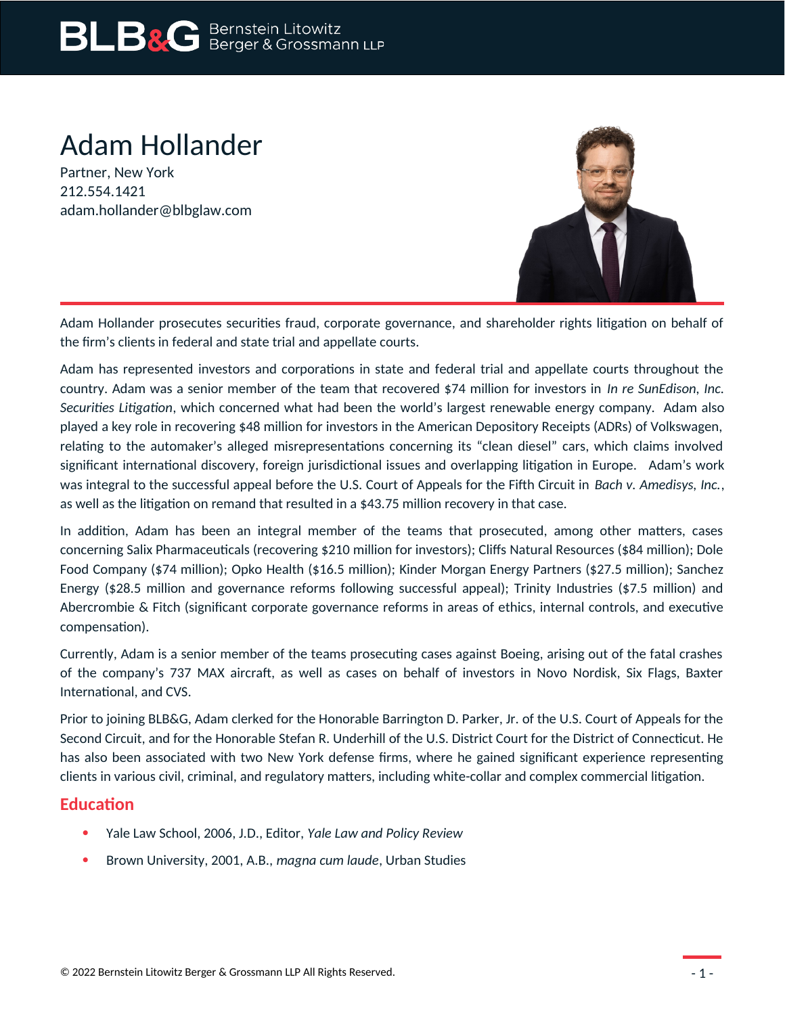# Adam Hollander

Partner, New York 212.554.1421 adam.hollander@blbglaw.com



Adam Hollander prosecutes securities fraud, corporate governance, and shareholder rights litigation on behalf of the firm's clients in federal and state trial and appellate courts.

Adam has represented investors and corporations in state and federal trial and appellate courts throughout the country. Adam was a senior member of the team that recovered \$74 million for investors in *In re SunEdison, Inc. Securities Litigation*, which concerned what had been the world's largest renewable energy company. Adam also played a key role in recovering \$48 million for investors in the American Depository Receipts (ADRs) of Volkswagen, relating to the automaker's alleged misrepresentations concerning its "clean diesel" cars, which claims involved significant international discovery, foreign jurisdictional issues and overlapping litigation in Europe. Adam's work was integral to the successful appeal before the U.S. Court of Appeals for the Fifth Circuit in *Bach v. Amedisys, Inc.*, as well as the litigation on remand that resulted in a \$43.75 million recovery in that case.

In addition, Adam has been an integral member of the teams that prosecuted, among other matters, cases concerning Salix Pharmaceuticals (recovering \$210 million for investors); Cliffs Natural Resources (\$84 million); Dole Food Company (\$74 million); Opko Health (\$16.5 million); Kinder Morgan Energy Partners (\$27.5 million); Sanchez Energy (\$28.5 million and governance reforms following successful appeal); Trinity Industries (\$7.5 million) and Abercrombie & Fitch (significant corporate governance reforms in areas of ethics, internal controls, and executive compensation).

Currently, Adam is a senior member of the teams prosecuting cases against Boeing, arising out of the fatal crashes of the company's 737 MAX aircraft, as well as cases on behalf of investors in Novo Nordisk, Six Flags, Baxter International, and CVS.

Prior to joining BLB&G, Adam clerked for the Honorable Barrington D. Parker, Jr. of the U.S. Court of Appeals for the Second Circuit, and for the Honorable Stefan R. Underhill of the U.S. District Court for the District of Connecticut. He has also been associated with two New York defense firms, where he gained significant experience representing clients in various civil, criminal, and regulatory matters, including white-collar and complex commercial litigation.

# **Education**

- Yale Law School, 2006, J.D., Editor, *Yale Law and Policy Review*
- Brown University, 2001, A.B., *magna cum laude*, Urban Studies